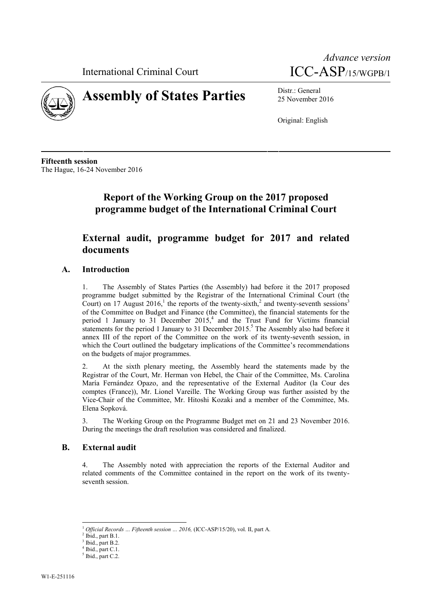International Criminal Court





# **Assembly of States Parties** Distr.: General

25 November 2016

Original: English

**Fifteenth session** The Hague, 16-24 November 2016

# **Report of the Working Group on the 2017 proposed programme budget of the International Criminal Court**

# **External audit, programme budget for 2017 and related documents**

# **A. Introduction**

1. The Assembly of States Parties (the Assembly) had before it the 2017 proposed programme budget submitted by the Registrar of the International Criminal Court (the Court) on 17 August 2016,<sup>1</sup> the reports of the twenty-sixth,<sup>2</sup> and twenty-seventh sessions<sup>3</sup> of the Committee on Budget and Finance (the Committee), the financial statements for the period 1 January to 31 December  $2015<sup>4</sup>$  and the Trust Fund for Victims financial statements for the period 1 January to 31 December 2015.<sup>5</sup> The Assembly also had before it annex III of the report of the Committee on the work of its twenty-seventh session, in which the Court outlined the budgetary implications of the Committee's recommendations on the budgets of major programmes.

At the sixth plenary meeting, the Assembly heard the statements made by the Registrar of the Court, Mr. Herman von Hebel, the Chair of the Committee, Ms. Carolina María Fernández Opazo, and the representative of the External Auditor (la Cour des comptes (France)), Mr. Lionel Vareille. The Working Group was further assisted by the Vice-Chair of the Committee, Mr. Hitoshi Kozaki and a member of the Committee, Ms. Elena Sopková.

3. The Working Group on the Programme Budget met on 21 and 23 November 2016. During the meetings the draft resolution was considered and finalized.

### **B. External audit**

4. The Assembly noted with appreciation the reports of the External Auditor and related comments of the Committee contained in the report on the work of its twenty seventh session.

 $^1$   $\emph{Official Records}$   $\ldots$   $\emph{Fifteenth session}$   $\ldots$   $\emph{2016}$  (ICC-ASP/15/20), vol. II, part A.  $^2$ Ibid., part B.1.

Ibid., part B.2.

 $<sup>4</sup>$  Ibid., part C.1.  $<sup>5</sup>$  Ibid., part C.2.</sup></sup>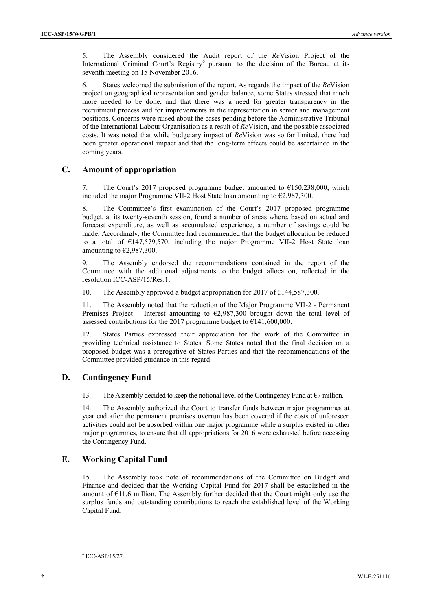5. The Assembly considered the Audit report of the *Re*Vision Project of the International Criminal Court's Registry<sup>6</sup> pursuant to the decision of the Bureau at its seventh meeting on 15 November 2016.

6. States welcomed the submission of the report. As regards the impact of the *Re*Vision project on geographical representation and gender balance, some States stressed that much more needed to be done, and that there was a need for greater transparency in the recruitment process and for improvements in the representation in senior and management positions. Concerns were raised about the cases pending before the Administrative Tribunal of the International Labour Organisation as a result of *Re*Vision, and the possible associated costs. It was noted that while budgetary impact of *Re*Vision was so far limited, there had been greater operational impact and that the long-term effects could be ascertained in the coming years.

## **C. Amount of appropriation**

7. The Court's 2017 proposed programme budget amounted to  $\epsilon$ 150,238,000, which included the major Programme VII-2 Host State loan amounting to  $\epsilon$ 2,987,300.

8. The Committee's first examination of the Court's 2017 proposed programme budget, at its twenty-seventh session, found a number of areas where, based on actual and forecast expenditure, as well as accumulated experience, a number of savings could be made. Accordingly, the Committee had recommended that the budget allocation be reduced to a total of €147,579,570, including the major Programme VII-2 Host State loan amounting to  $\epsilon$ 2,987,300.

9. The Assembly endorsed the recommendations contained in the report of the Committee with the additional adjustments to the budget allocation, reflected in the resolution ICC-ASP/15/Res.1.

10. The Assembly approved a budget appropriation for 2017 of  $\epsilon$ 144,587,300.

11. The Assembly noted that the reduction of the Major Programme VII-2 - Permanent Premises Project – Interest amounting to  $\epsilon$ 2,987,300 brought down the total level of assessed contributions for the 2017 programme budget to  $\epsilon$ 141,600,000.

12. States Parties expressed their appreciation for the work of the Committee in providing technical assistance to States. Some States noted that the final decision on a proposed budget was a prerogative of States Parties and that the recommendations of the Committee provided guidance in this regard.

### **D. Contingency Fund**

13. The Assembly decided to keep the notional level of the Contingency Fund at  $\epsilon$ 7 million.

14. The Assembly authorized the Court to transfer funds between major programmes at year end after the permanent premises overrun has been covered if the costs of unforeseen activities could not be absorbed within one major programme while a surplus existed in other major programmes, to ensure that all appropriations for 2016 were exhausted before accessing the Contingency Fund.

### **E. Working Capital Fund**

15. The Assembly took note of recommendations of the Committee on Budget and Finance and decided that the Working Capital Fund for 2017 shall be established in the amount of  $E11.6$  million. The Assembly further decided that the Court might only use the surplus funds and outstanding contributions to reach the established level of the Working Capital Fund.

<sup>6</sup> ICC-ASP/15/27.